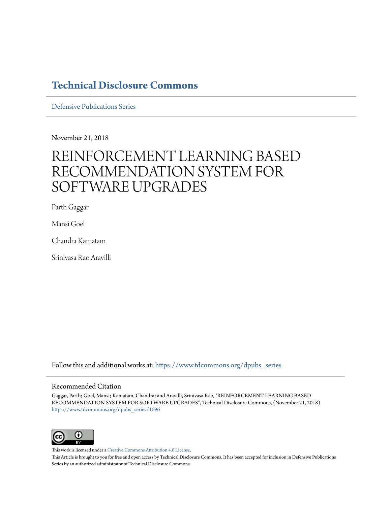# **[Technical Disclosure Commons](https://www.tdcommons.org?utm_source=www.tdcommons.org%2Fdpubs_series%2F1696&utm_medium=PDF&utm_campaign=PDFCoverPages)**

[Defensive Publications Series](https://www.tdcommons.org/dpubs_series?utm_source=www.tdcommons.org%2Fdpubs_series%2F1696&utm_medium=PDF&utm_campaign=PDFCoverPages)

November 21, 2018

# REINFORCEMENT LEARNING BASED RECOMMENDATION SYSTEM FOR SOFTWARE UPGRADES

Parth Gaggar

Mansi Goel

Chandra Kamatam

Srinivasa Rao Aravilli

Follow this and additional works at: [https://www.tdcommons.org/dpubs\\_series](https://www.tdcommons.org/dpubs_series?utm_source=www.tdcommons.org%2Fdpubs_series%2F1696&utm_medium=PDF&utm_campaign=PDFCoverPages)

#### Recommended Citation

Gaggar, Parth; Goel, Mansi; Kamatam, Chandra; and Aravilli, Srinivasa Rao, "REINFORCEMENT LEARNING BASED RECOMMENDATION SYSTEM FOR SOFTWARE UPGRADES", Technical Disclosure Commons, (November 21, 2018) [https://www.tdcommons.org/dpubs\\_series/1696](https://www.tdcommons.org/dpubs_series/1696?utm_source=www.tdcommons.org%2Fdpubs_series%2F1696&utm_medium=PDF&utm_campaign=PDFCoverPages)



This work is licensed under a [Creative Commons Attribution 4.0 License.](http://creativecommons.org/licenses/by/4.0/deed.en_US)

This Article is brought to you for free and open access by Technical Disclosure Commons. It has been accepted for inclusion in Defensive Publications Series by an authorized administrator of Technical Disclosure Commons.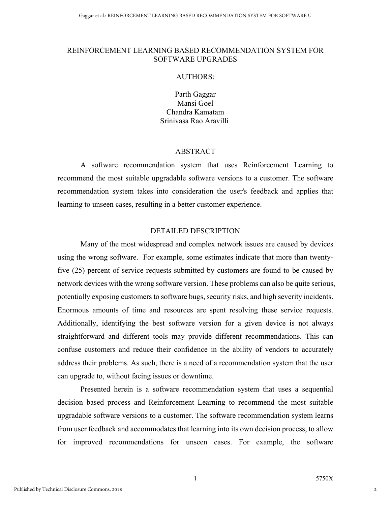# REINFORCEMENT LEARNING BASED RECOMMENDATION SYSTEM FOR SOFTWARE UPGRADES

# AUTHORS:

Parth Gaggar Mansi Goel Chandra Kamatam Srinivasa Rao Aravilli

# ABSTRACT

A software recommendation system that uses Reinforcement Learning to recommend the most suitable upgradable software versions to a customer. The software recommendation system takes into consideration the user's feedback and applies that learning to unseen cases, resulting in a better customer experience.

#### DETAILED DESCRIPTION

Many of the most widespread and complex network issues are caused by devices using the wrong software. For example, some estimates indicate that more than twentyfive (25) percent of service requests submitted by customers are found to be caused by network devices with the wrong software version. These problems can also be quite serious, potentially exposing customers to software bugs, security risks, and high severity incidents. Enormous amounts of time and resources are spent resolving these service requests. Additionally, identifying the best software version for a given device is not always straightforward and different tools may provide different recommendations. This can confuse customers and reduce their confidence in the ability of vendors to accurately address their problems. As such, there is a need of a recommendation system that the user can upgrade to, without facing issues or downtime.

Presented herein is a software recommendation system that uses a sequential decision based process and Reinforcement Learning to recommend the most suitable upgradable software versions to a customer. The software recommendation system learns from user feedback and accommodates that learning into its own decision process, to allow for improved recommendations for unseen cases. For example, the software

2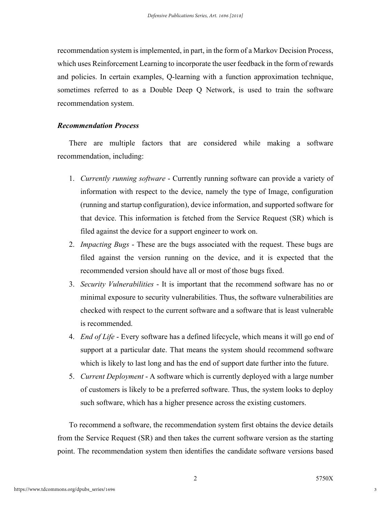recommendation system is implemented, in part, in the form of a Markov Decision Process, which uses Reinforcement Learning to incorporate the user feedback in the form of rewards and policies. In certain examples, Q-learning with a function approximation technique, sometimes referred to as a Double Deep Q Network, is used to train the software recommendation system.

# *Recommendation Process*

There are multiple factors that are considered while making a software recommendation, including:

- 1. *Currently running software* Currently running software can provide a variety of information with respect to the device, namely the type of Image, configuration (running and startup configuration), device information, and supported software for that device. This information is fetched from the Service Request (SR) which is filed against the device for a support engineer to work on.
- 2. *Impacting Bugs* These are the bugs associated with the request. These bugs are filed against the version running on the device, and it is expected that the recommended version should have all or most of those bugs fixed.
- 3. *Security Vulnerabilities*  It is important that the recommend software has no or minimal exposure to security vulnerabilities. Thus, the software vulnerabilities are checked with respect to the current software and a software that is least vulnerable is recommended.
- 4. *End of Life* Every software has a defined lifecycle, which means it will go end of support at a particular date. That means the system should recommend software which is likely to last long and has the end of support date further into the future.
- 5. *Current Deployment* A software which is currently deployed with a large number of customers is likely to be a preferred software. Thus, the system looks to deploy such software, which has a higher presence across the existing customers.

To recommend a software, the recommendation system first obtains the device details from the Service Request (SR) and then takes the current software version as the starting point. The recommendation system then identifies the candidate software versions based

3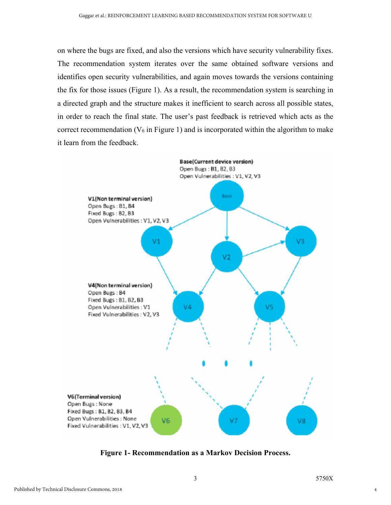on where the bugs are fixed, and also the versions which have security vulnerability fixes. The recommendation system iterates over the same obtained software versions and identifies open security vulnerabilities, and again moves towards the versions containing the fix for those issues (Figure 1). As a result, the recommendation system is searching in a directed graph and the structure makes it inefficient to search across all possible states, in order to reach the final state. The user's past feedback is retrieved which acts as the correct recommendation  $(V_6$  in Figure 1) and is incorporated within the algorithm to make it learn from the feedback.



**Figure 1- Recommendation as a Markov Decision Process.**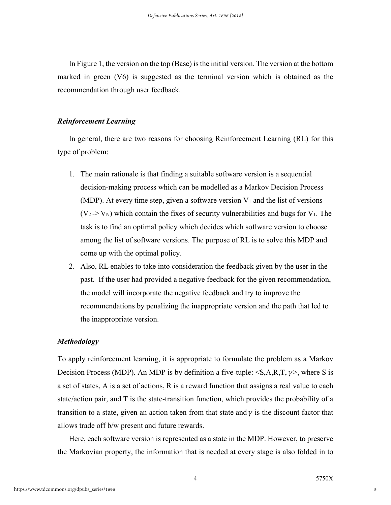In Figure 1, the version on the top (Base) is the initial version. The version at the bottom marked in green (V6) is suggested as the terminal version which is obtained as the recommendation through user feedback.

#### *Reinforcement Learning*

In general, there are two reasons for choosing Reinforcement Learning (RL) for this type of problem:

- 1. The main rationale is that finding a suitable software version is a sequential decision-making process which can be modelled as a Markov Decision Process (MDP). At every time step, given a software version  $V_1$  and the list of versions  $(V_2 > V_N)$  which contain the fixes of security vulnerabilities and bugs for V<sub>1</sub>. The task is to find an optimal policy which decides which software version to choose among the list of software versions. The purpose of RL is to solve this MDP and come up with the optimal policy.
- 2. Also, RL enables to take into consideration the feedback given by the user in the past. If the user had provided a negative feedback for the given recommendation, the model will incorporate the negative feedback and try to improve the recommendations by penalizing the inappropriate version and the path that led to the inappropriate version.

#### *Methodology*

To apply reinforcement learning, it is appropriate to formulate the problem as a Markov Decision Process (MDP). An MDP is by definition a five-tuple:  $\langle S, A, R, T, \gamma \rangle$ , where S is a set of states, A is a set of actions, R is a reward function that assigns a real value to each state/action pair, and T is the state-transition function, which provides the probability of a transition to a state, given an action taken from that state and  $\gamma$  is the discount factor that allows trade off b/w present and future rewards.

Here, each software version is represented as a state in the MDP. However, to preserve the Markovian property, the information that is needed at every stage is also folded in to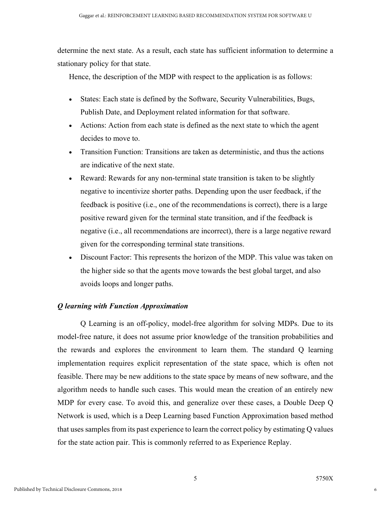determine the next state. As a result, each state has sufficient information to determine a stationary policy for that state.

Hence, the description of the MDP with respect to the application is as follows:

- States: Each state is defined by the Software, Security Vulnerabilities, Bugs, Publish Date, and Deployment related information for that software.
- Actions: Action from each state is defined as the next state to which the agent decides to move to.
- Transition Function: Transitions are taken as deterministic, and thus the actions are indicative of the next state.
- Reward: Rewards for any non-terminal state transition is taken to be slightly negative to incentivize shorter paths. Depending upon the user feedback, if the feedback is positive (i.e., one of the recommendations is correct), there is a large positive reward given for the terminal state transition, and if the feedback is negative (i.e., all recommendations are incorrect), there is a large negative reward given for the corresponding terminal state transitions.
- Discount Factor: This represents the horizon of the MDP. This value was taken on the higher side so that the agents move towards the best global target, and also avoids loops and longer paths.

# *Q learning with Function Approximation*

Q Learning is an off-policy, model-free algorithm for solving MDPs. Due to its model-free nature, it does not assume prior knowledge of the transition probabilities and the rewards and explores the environment to learn them. The standard Q learning implementation requires explicit representation of the state space, which is often not feasible. There may be new additions to the state space by means of new software, and the algorithm needs to handle such cases. This would mean the creation of an entirely new MDP for every case. To avoid this, and generalize over these cases, a Double Deep Q Network is used, which is a Deep Learning based Function Approximation based method that uses samples from its past experience to learn the correct policy by estimating Q values for the state action pair. This is commonly referred to as Experience Replay.

6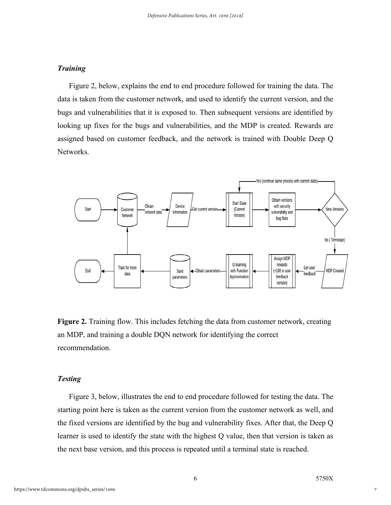# *Training*

Figure 2, below, explains the end to end procedure followed for training the data. The data is taken from the customer network, and used to identify the current version, and the bugs and vulnerabilities that it is exposed to. Then subsequent versions are identified by looking up fixes for the bugs and vulnerabilities, and the MDP is created. Rewards are assigned based on customer feedback, and the network is trained with Double Deep Q Networks.



**Figure 2.** Training flow. This includes fetching the data from customer network, creating an MDP, and training a double DQN network for identifying the correct recommendation.

#### *Testing*

Figure 3, below, illustrates the end to end procedure followed for testing the data. The starting point here is taken as the current version from the customer network as well, and the fixed versions are identified by the bug and vulnerability fixes. After that, the Deep Q learner is used to identify the state with the highest Q value, then that version is taken as the next base version, and this process is repeated until a terminal state is reached.